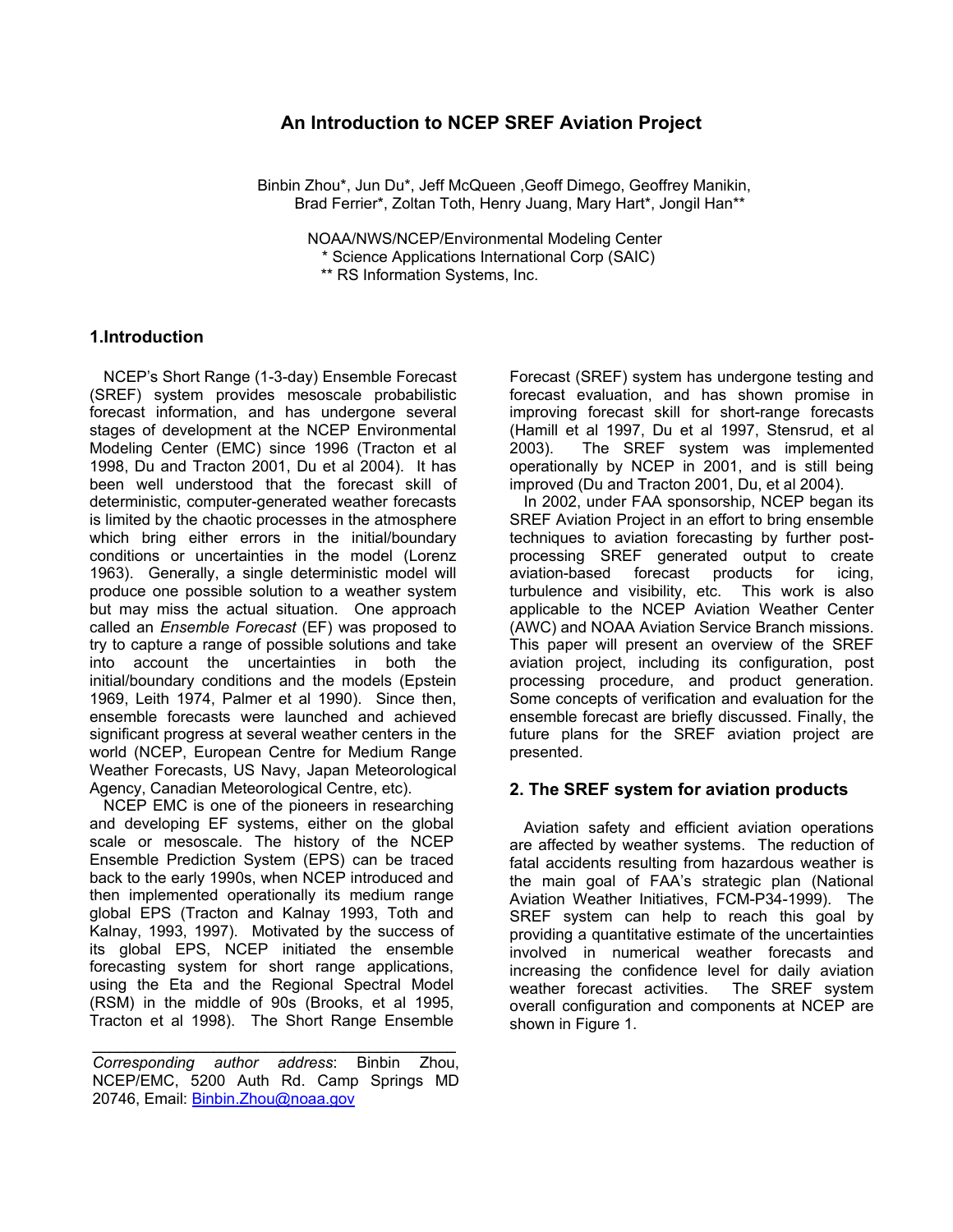# **An Introduction to NCEP SREF Aviation Project**

 Binbin Zhou\*, Jun Du\*, Jeff McQueen ,Geoff Dimego, Geoffrey Manikin, Brad Ferrier\*, Zoltan Toth, Henry Juang, Mary Hart\*, Jongil Han\*\*

 NOAA/NWS/NCEP/Environmental Modeling Center \* Science Applications International Corp (SAIC) \*\* RS Information Systems, Inc.

## **1.Introduction**

NCEP's Short Range (1-3-day) Ensemble Forecast (SREF) system provides mesoscale probabilistic forecast information, and has undergone several stages of development at the NCEP Environmental Modeling Center (EMC) since 1996 (Tracton et al 1998, Du and Tracton 2001, Du et al 2004). It has been well understood that the forecast skill of deterministic, computer-generated weather forecasts is limited by the chaotic processes in the atmosphere which bring either errors in the initial/boundary conditions or uncertainties in the model (Lorenz 1963). Generally, a single deterministic model will produce one possible solution to a weather system but may miss the actual situation. One approach called an *Ensemble Forecast* (EF) was proposed to try to capture a range of possible solutions and take into account the uncertainties in both the initial/boundary conditions and the models (Epstein 1969, Leith 1974, Palmer et al 1990). Since then, ensemble forecasts were launched and achieved significant progress at several weather centers in the world (NCEP, European Centre for Medium Range Weather Forecasts, US Navy, Japan Meteorological Agency, Canadian Meteorological Centre, etc).

NCEP EMC is one of the pioneers in researching and developing EF systems, either on the global scale or mesoscale. The history of the NCEP Ensemble Prediction System (EPS) can be traced back to the early 1990s, when NCEP introduced and then implemented operationally its medium range global EPS (Tracton and Kalnay 1993, Toth and Kalnay, 1993, 1997). Motivated by the success of its global EPS, NCEP initiated the ensemble forecasting system for short range applications, using the Eta and the Regional Spectral Model (RSM) in the middle of 90s (Brooks, et al 1995, Tracton et al 1998). The Short Range Ensemble

 $\mathcal{L}_\text{max}$  and  $\mathcal{L}_\text{max}$  and  $\mathcal{L}_\text{max}$  and  $\mathcal{L}_\text{max}$ 

Forecast (SREF) system has undergone testing and forecast evaluation, and has shown promise in improving forecast skill for short-range forecasts (Hamill et al 1997, Du et al 1997, Stensrud, et al 2003). The SREF system was implemented operationally by NCEP in 2001, and is still being improved (Du and Tracton 2001, Du, et al 2004).

In 2002, under FAA sponsorship, NCEP began its SREF Aviation Project in an effort to bring ensemble techniques to aviation forecasting by further postprocessing SREF generated output to create aviation-based forecast products for icing, turbulence and visibility, etc. This work is also applicable to the NCEP Aviation Weather Center (AWC) and NOAA Aviation Service Branch missions. This paper will present an overview of the SREF aviation project, including its configuration, post processing procedure, and product generation. Some concepts of verification and evaluation for the ensemble forecast are briefly discussed. Finally, the future plans for the SREF aviation project are presented.

## **2. The SREF system for aviation products**

Aviation safety and efficient aviation operations are affected by weather systems. The reduction of fatal accidents resulting from hazardous weather is the main goal of FAA's strategic plan (National Aviation Weather Initiatives, FCM-P34-1999). The SREF system can help to reach this goal by providing a quantitative estimate of the uncertainties involved in numerical weather forecasts and increasing the confidence level for daily aviation weather forecast activities. The SREF system overall configuration and components at NCEP are shown in Figure 1.

*Corresponding author address*: Binbin Zhou, NCEP/EMC, 5200 Auth Rd. Camp Springs MD 20746, Email: Binbin. Zhou@noaa.gov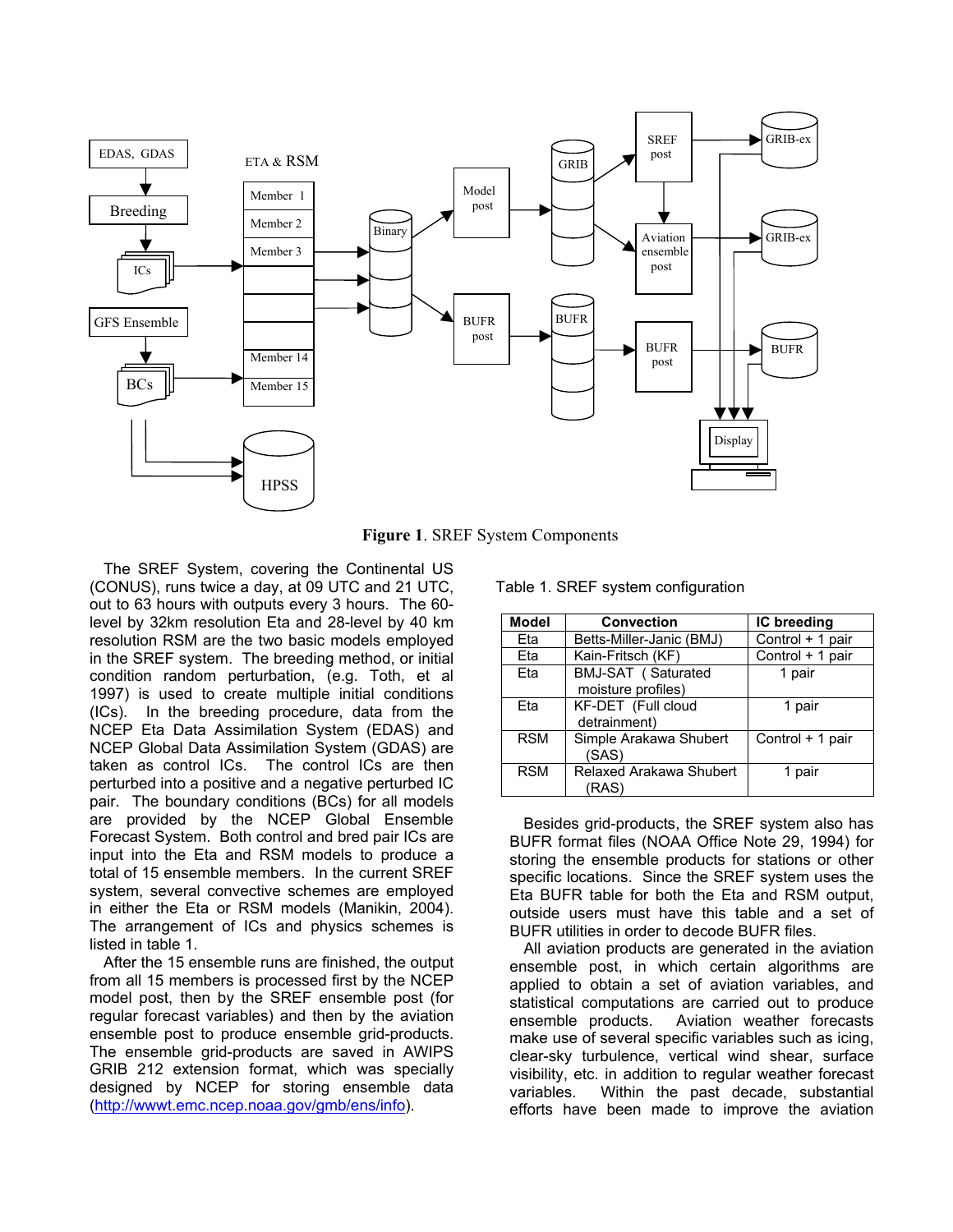

 **Figure 1**. SREF System Components

The SREF System, covering the Continental US (CONUS), runs twice a day, at 09 UTC and 21 UTC, out to 63 hours with outputs every 3 hours. The 60 level by 32km resolution Eta and 28-level by 40 km resolution RSM are the two basic models employed in the SREF system. The breeding method, or initial condition random perturbation, (e.g. Toth, et al 1997) is used to create multiple initial conditions (ICs). In the breeding procedure, data from the NCEP Eta Data Assimilation System (EDAS) and NCEP Global Data Assimilation System (GDAS) are taken as control ICs. The control ICs are then perturbed into a positive and a negative perturbed IC pair. The boundary conditions (BCs) for all models are provided by the NCEP Global Ensemble Forecast System. Both control and bred pair ICs are input into the Eta and RSM models to produce a total of 15 ensemble members. In the current SREF system, several convective schemes are employed in either the Eta or RSM models (Manikin, 2004). The arrangement of ICs and physics schemes is listed in table 1.

After the 15 ensemble runs are finished, the output from all 15 members is processed first by the NCEP model post, then by the SREF ensemble post (for regular forecast variables) and then by the aviation ensemble post to produce ensemble grid-products. The ensemble grid-products are saved in AWIPS GRIB 212 extension format, which was specially designed by NCEP for storing ensemble data (http://wwwt.emc.ncep.noaa.gov/gmb/ens/info).

| <b>Model</b> | <b>Convection</b>                        | IC breeding      |  |
|--------------|------------------------------------------|------------------|--|
| Eta          | Betts-Miller-Janic (BMJ)                 | Control + 1 pair |  |
| Eta          | Kain-Fritsch (KF)                        | Control + 1 pair |  |
| Eta          | BMJ-SAT (Saturated<br>moisture profiles) | 1 pair           |  |
| Eta          | KF-DET (Full cloud<br>detrainment)       | 1 pair           |  |
| <b>RSM</b>   | Simple Arakawa Shubert<br>(SAS)          | Control + 1 pair |  |
| <b>RSM</b>   | Relaxed Arakawa Shubert<br>(RAS)         | 1 pair           |  |

Table 1. SREF system configuration

Besides grid-products, the SREF system also has BUFR format files (NOAA Office Note 29, 1994) for storing the ensemble products for stations or other specific locations. Since the SREF system uses the Eta BUFR table for both the Eta and RSM output, outside users must have this table and a set of BUFR utilities in order to decode BUFR files.

All aviation products are generated in the aviation ensemble post, in which certain algorithms are applied to obtain a set of aviation variables, and statistical computations are carried out to produce ensemble products. Aviation weather forecasts make use of several specific variables such as icing, clear-sky turbulence, vertical wind shear, surface visibility, etc. in addition to regular weather forecast variables. Within the past decade, substantial efforts have been made to improve the aviation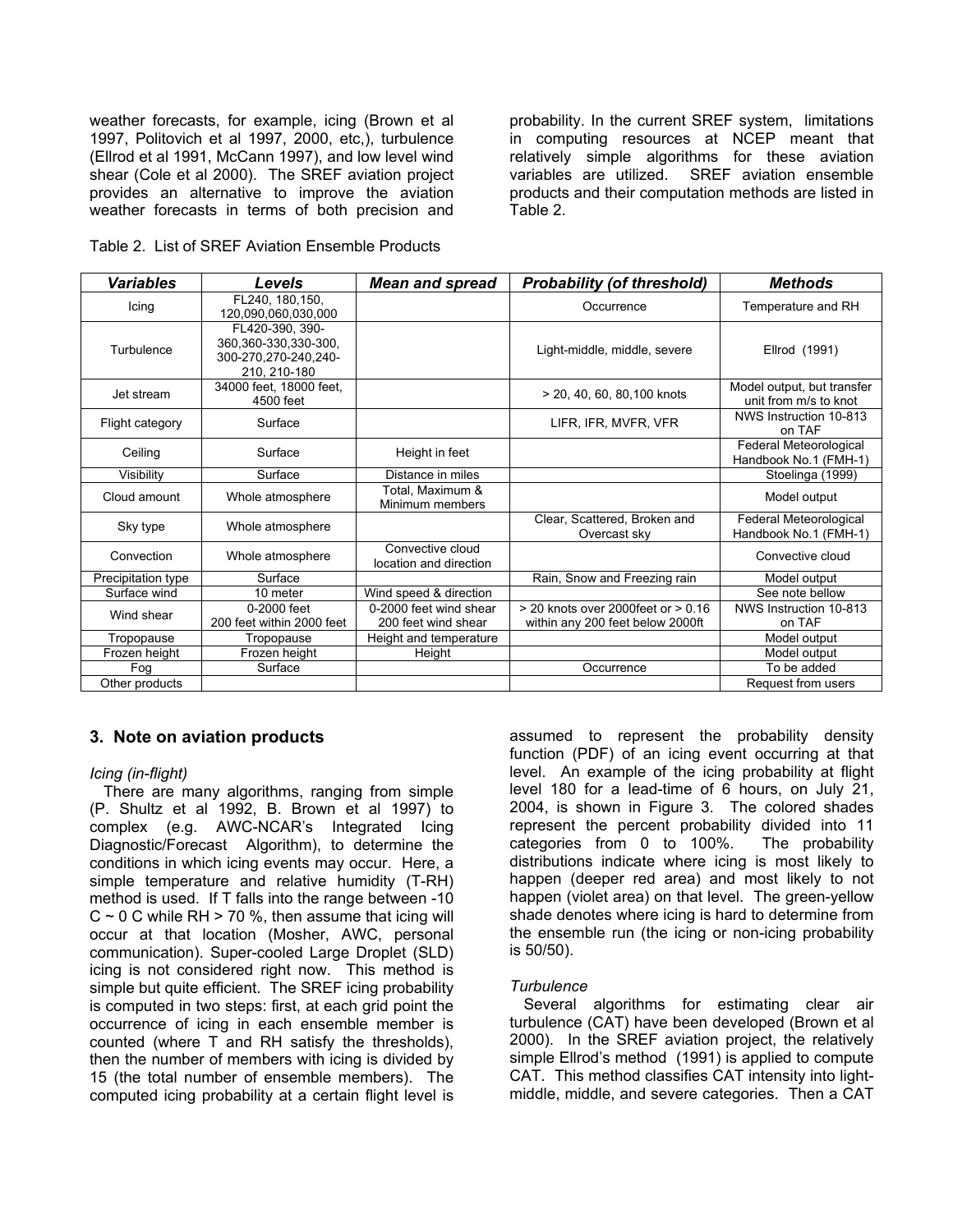weather forecasts, for example, icing (Brown et al 1997, Politovich et al 1997, 2000, etc,), turbulence (Ellrod et al 1991, McCann 1997), and low level wind shear (Cole et al 2000). The SREF aviation project provides an alternative to improve the aviation weather forecasts in terms of both precision and probability. In the current SREF system, limitations in computing resources at NCEP meant that relatively simple algorithms for these aviation variables are utilized. SREF aviation ensemble products and their computation methods are listed in Table 2.

Table 2. List of SREF Aviation Ensemble Products

| <b>Variables</b>   | <b>Levels</b>                                                                   | <b>Mean and spread</b>                        | <b>Probability (of threshold)</b>                                      | <b>Methods</b>                                      |
|--------------------|---------------------------------------------------------------------------------|-----------------------------------------------|------------------------------------------------------------------------|-----------------------------------------------------|
| Icing              | FL240, 180, 150,<br>120,090,060,030,000                                         |                                               | Occurrence                                                             | Temperature and RH                                  |
| Turbulence         | FL420-390, 390-<br>360,360-330,330-300,<br>300-270,270-240,240-<br>210, 210-180 |                                               | Light-middle, middle, severe                                           | Ellrod (1991)                                       |
| Jet stream         | 34000 feet, 18000 feet,<br>4500 feet                                            |                                               | > 20, 40, 60, 80, 100 knots                                            | Model output, but transfer<br>unit from m/s to knot |
| Flight category    | Surface                                                                         |                                               | LIFR, IFR, MVFR, VFR                                                   | NWS Instruction 10-813<br>on TAF                    |
| Ceiling            | Surface                                                                         | Height in feet                                |                                                                        | Federal Meteorological<br>Handbook No.1 (FMH-1)     |
| Visibility         | Surface                                                                         | Distance in miles                             |                                                                        | Stoelinga (1999)                                    |
| Cloud amount       | Whole atmosphere                                                                | Total, Maximum &<br>Minimum members           |                                                                        | Model output                                        |
| Sky type           | Whole atmosphere                                                                |                                               | Clear, Scattered, Broken and<br>Overcast sky                           | Federal Meteorological<br>Handbook No.1 (FMH-1)     |
| Convection         | Whole atmosphere                                                                | Convective cloud<br>location and direction    |                                                                        | Convective cloud                                    |
| Precipitation type | Surface                                                                         |                                               | Rain, Snow and Freezing rain                                           | Model output                                        |
| Surface wind       | 10 meter                                                                        | Wind speed & direction                        |                                                                        | See note bellow                                     |
| Wind shear         | 0-2000 feet<br>200 feet within 2000 feet                                        | 0-2000 feet wind shear<br>200 feet wind shear | > 20 knots over 2000feet or > 0.16<br>within any 200 feet below 2000ft | NWS Instruction 10-813<br>on TAF                    |
| Tropopause         | Tropopause                                                                      | Height and temperature                        |                                                                        | Model output                                        |
| Frozen height      | Frozen height                                                                   | Height                                        |                                                                        | Model output                                        |
| Fog                | Surface                                                                         |                                               | Occurrence                                                             | To be added                                         |
| Other products     |                                                                                 |                                               |                                                                        | Request from users                                  |

### **3. Note on aviation products**

### *Icing (in-flight)*

There are many algorithms, ranging from simple (P. Shultz et al 1992, B. Brown et al 1997) to complex (e.g. AWC-NCAR's Integrated Icing Diagnostic/Forecast Algorithm), to determine the conditions in which icing events may occur. Here, a simple temperature and relative humidity (T-RH) method is used. If T falls into the range between -10  $C \sim 0$  C while RH  $> 70$  %, then assume that icing will occur at that location (Mosher, AWC, personal communication). Super-cooled Large Droplet (SLD) icing is not considered right now. This method is simple but quite efficient. The SREF icing probability is computed in two steps: first, at each grid point the occurrence of icing in each ensemble member is counted (where T and RH satisfy the thresholds), then the number of members with icing is divided by 15 (the total number of ensemble members). The computed icing probability at a certain flight level is

assumed to represent the probability density function (PDF) of an icing event occurring at that level. An example of the icing probability at flight level 180 for a lead-time of 6 hours, on July 21, 2004, is shown in Figure 3. The colored shades represent the percent probability divided into 11 categories from 0 to 100%. The probability distributions indicate where icing is most likely to happen (deeper red area) and most likely to not happen (violet area) on that level. The green-yellow shade denotes where icing is hard to determine from the ensemble run (the icing or non-icing probability is 50/50).

### *Turbulence*

Several algorithms for estimating clear air turbulence (CAT) have been developed (Brown et al 2000). In the SREF aviation project, the relatively simple Ellrod's method (1991) is applied to compute CAT. This method classifies CAT intensity into lightmiddle, middle, and severe categories. Then a CAT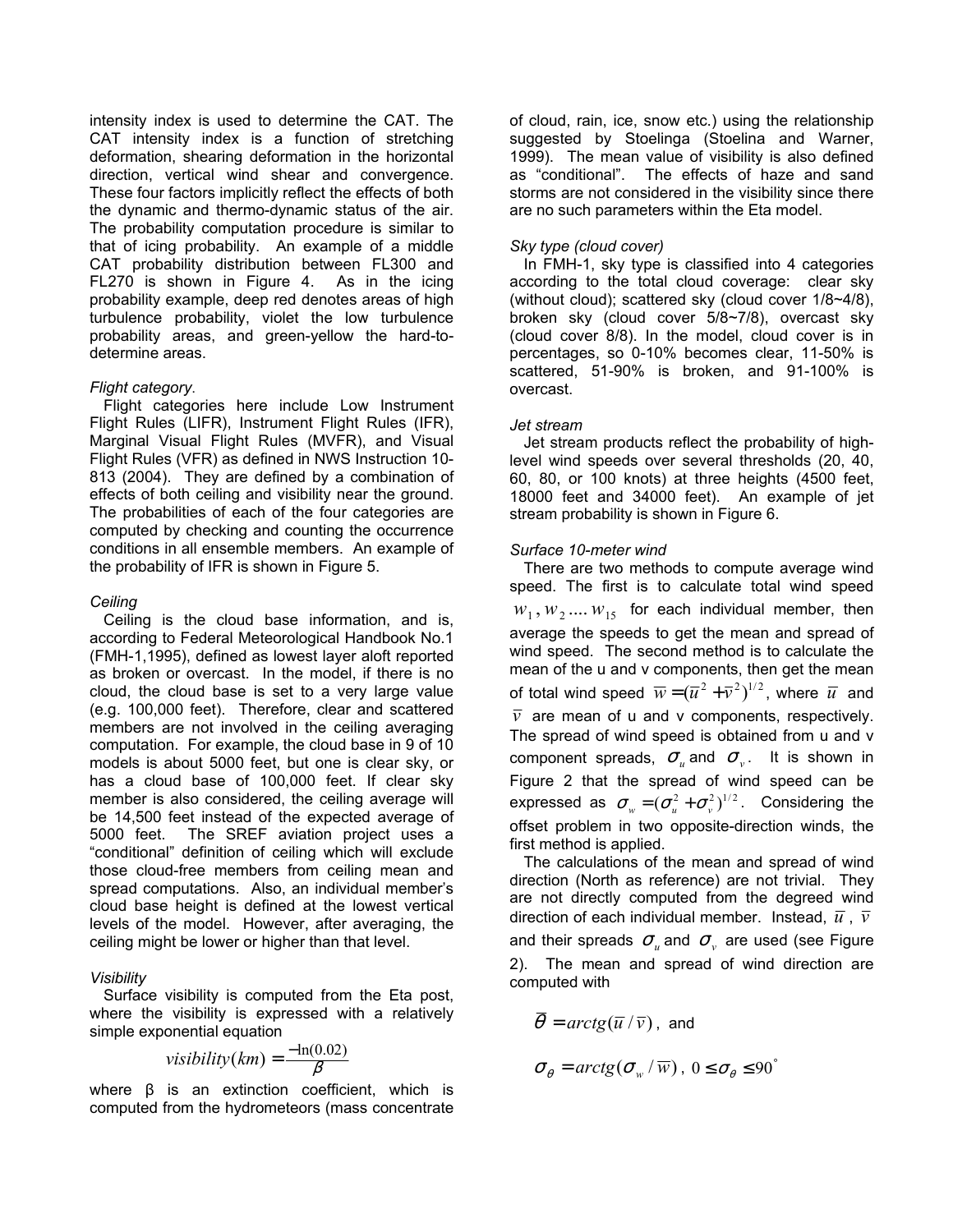intensity index is used to determine the CAT. The CAT intensity index is a function of stretching deformation, shearing deformation in the horizontal direction, vertical wind shear and convergence. These four factors implicitly reflect the effects of both the dynamic and thermo-dynamic status of the air. The probability computation procedure is similar to that of icing probability. An example of a middle CAT probability distribution between FL300 and FL270 is shown in Figure 4. As in the icing probability example, deep red denotes areas of high turbulence probability, violet the low turbulence probability areas, and green-yellow the hard-todetermine areas.

### *Flight category*.

Flight categories here include Low Instrument Flight Rules (LIFR), Instrument Flight Rules (IFR), Marginal Visual Flight Rules (MVFR), and Visual Flight Rules (VFR) as defined in NWS Instruction 10- 813 (2004). They are defined by a combination of effects of both ceiling and visibility near the ground. The probabilities of each of the four categories are computed by checking and counting the occurrence conditions in all ensemble members. An example of the probability of IFR is shown in Figure 5.

## *Ceiling*

Ceiling is the cloud base information, and is, according to Federal Meteorological Handbook No.1 (FMH-1,1995), defined as lowest layer aloft reported as broken or overcast. In the model, if there is no cloud, the cloud base is set to a very large value (e.g. 100,000 feet). Therefore, clear and scattered members are not involved in the ceiling averaging computation. For example, the cloud base in 9 of 10 models is about 5000 feet, but one is clear sky, or has a cloud base of 100,000 feet. If clear sky member is also considered, the ceiling average will be 14,500 feet instead of the expected average of 5000 feet. The SREF aviation project uses a "conditional" definition of ceiling which will exclude those cloud-free members from ceiling mean and spread computations. Also, an individual member's cloud base height is defined at the lowest vertical levels of the model. However, after averaging, the ceiling might be lower or higher than that level.

## *Visibility*

Surface visibility is computed from the Eta post, where the visibility is expressed with a relatively simple exponential equation

$$
visibility(km) = \frac{-\ln(0.02)}{\beta}
$$

where  $\beta$  is an extinction coefficient, which is computed from the hydrometeors (mass concentrate of cloud, rain, ice, snow etc.) using the relationship suggested by Stoelinga (Stoelina and Warner, 1999). The mean value of visibility is also defined as "conditional". The effects of haze and sand storms are not considered in the visibility since there are no such parameters within the Eta model.

## *Sky type (cloud cover)*

In FMH-1, sky type is classified into 4 categories according to the total cloud coverage: clear sky (without cloud); scattered sky (cloud cover 1/8~4/8), broken sky (cloud cover 5/8~7/8), overcast sky (cloud cover 8/8). In the model, cloud cover is in percentages, so 0-10% becomes clear, 11-50% is scattered, 51-90% is broken, and 91-100% is overcast.

## *Jet stream*

Jet stream products reflect the probability of highlevel wind speeds over several thresholds (20, 40, 60, 80, or 100 knots) at three heights (4500 feet, 18000 feet and 34000 feet). An example of jet stream probability is shown in Figure 6.

## *Surface 10-meter wind*

There are two methods to compute average wind speed. The first is to calculate total wind speed  $w_1, w_2, \ldots, w_{15}$  for each individual member, then average the speeds to get the mean and spread of wind speed. The second method is to calculate the mean of the u and v components, then get the mean of total wind speed  $\overline{w}$  =  $(\overline{u}^2 + \overline{v}^2)^{1/2}$ , where  $\overline{u}$  and  $\overline{v}$  are mean of u and v components, respectively. The spread of wind speed is obtained from u and v component spreads,  $\sigma_{\nu}$  and  $\sigma_{\nu}$ . It is shown in Figure 2 that the spread of wind speed can be expressed as  $\sigma_w = (\sigma_u^2 + \sigma_v^2)^{1/2}$ . Considering the offset problem in two opposite-direction winds, the first method is applied.

The calculations of the mean and spread of wind direction (North as reference) are not trivial. They are not directly computed from the degreed wind direction of each individual member. Instead,  $\overline{u}$ ,  $\overline{v}$ and their spreads  $\sigma_{\mu}$  and  $\sigma_{\nu}$  are used (see Figure 2). The mean and spread of wind direction are computed with

$$
\overline{\theta} = \arctg(\overline{u}/\overline{v}), \text{ and}
$$

$$
\sigma_{\theta} = \arctg(\sigma_{w}/\overline{w}), 0 \le \sigma_{\theta} \le 90^{\circ}
$$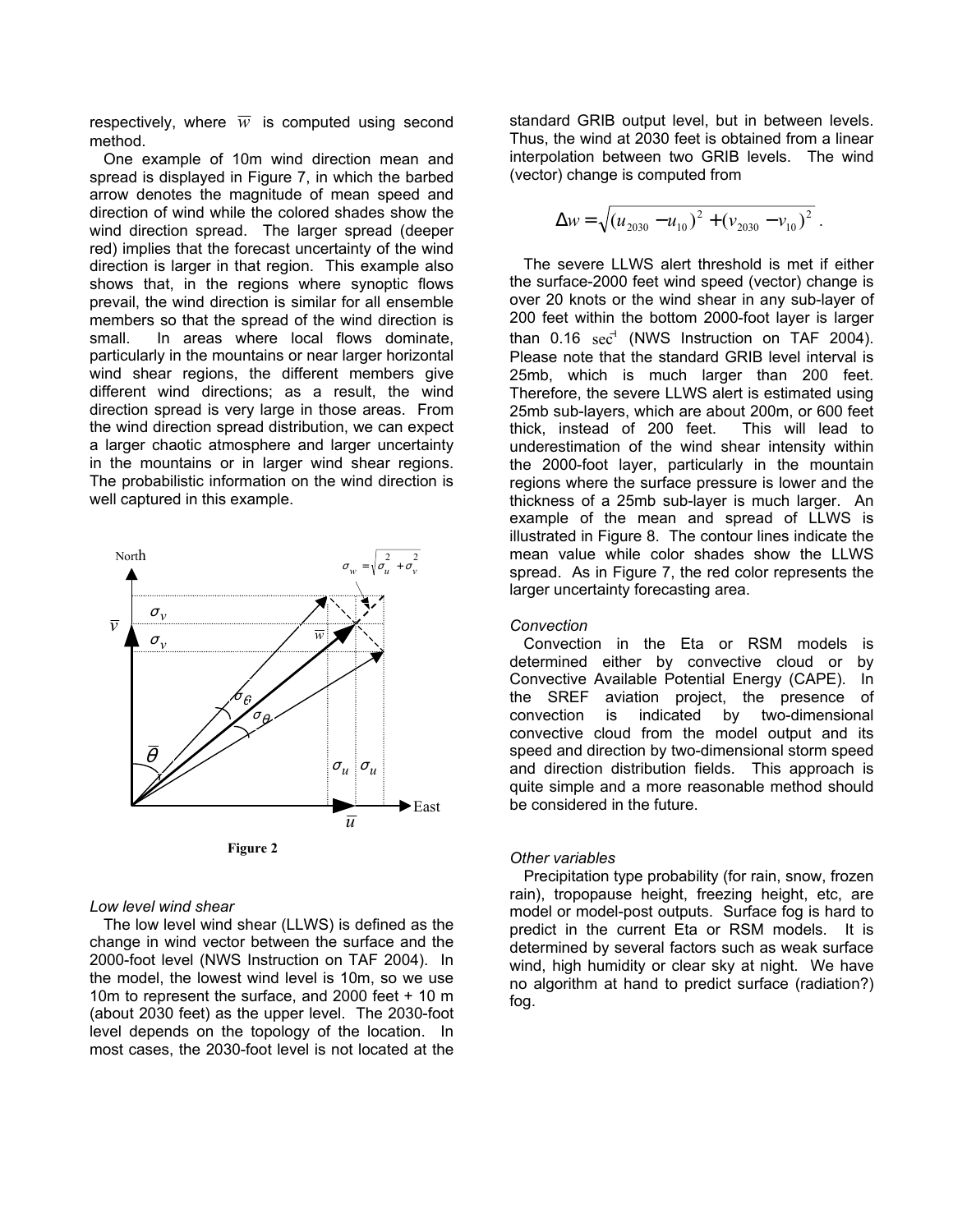respectively, where  $\overline{w}$  is computed using second method.

One example of 10m wind direction mean and spread is displayed in Figure 7, in which the barbed arrow denotes the magnitude of mean speed and direction of wind while the colored shades show the wind direction spread. The larger spread (deeper red) implies that the forecast uncertainty of the wind direction is larger in that region. This example also shows that, in the regions where synoptic flows prevail, the wind direction is similar for all ensemble members so that the spread of the wind direction is small. In areas where local flows dominate, particularly in the mountains or near larger horizontal wind shear regions, the different members give different wind directions; as a result, the wind direction spread is very large in those areas. From the wind direction spread distribution, we can expect a larger chaotic atmosphere and larger uncertainty in the mountains or in larger wind shear regions. The probabilistic information on the wind direction is well captured in this example.



### *Low level wind shear*

The low level wind shear (LLWS) is defined as the change in wind vector between the surface and the 2000-foot level (NWS Instruction on TAF 2004). In the model, the lowest wind level is 10m, so we use 10m to represent the surface, and 2000 feet + 10 m (about 2030 feet) as the upper level. The 2030-foot level depends on the topology of the location. In most cases, the 2030-foot level is not located at the

standard GRIB output level, but in between levels. Thus, the wind at 2030 feet is obtained from a linear interpolation between two GRIB levels. The wind (vector) change is computed from

$$
\Delta w = \sqrt{(u_{2030} - u_{10})^2 + (v_{2030} - v_{10})^2}.
$$

The severe LLWS alert threshold is met if either the surface-2000 feet wind speed (vector) change is over 20 knots or the wind shear in any sub-layer of 200 feet within the bottom 2000-foot layer is larger than  $0.16 \text{ sec}^{-1}$  (NWS Instruction on TAF 2004). Please note that the standard GRIB level interval is 25mb, which is much larger than 200 feet. Therefore, the severe LLWS alert is estimated using 25mb sub-layers, which are about 200m, or 600 feet thick, instead of 200 feet. This will lead to underestimation of the wind shear intensity within the 2000-foot layer, particularly in the mountain regions where the surface pressure is lower and the thickness of a 25mb sub-layer is much larger. An example of the mean and spread of LLWS is illustrated in Figure 8. The contour lines indicate the mean value while color shades show the LLWS spread. As in Figure 7, the red color represents the larger uncertainty forecasting area.

### *Convection*

Convection in the Eta or RSM models is determined either by convective cloud or by Convective Available Potential Energy (CAPE). In the SREF aviation project, the presence of convection is indicated by two-dimensional convective cloud from the model output and its speed and direction by two-dimensional storm speed and direction distribution fields. This approach is quite simple and a more reasonable method should  $\blacktriangleright$  East be considered in the future.

Precipitation type probability (for rain, snow, frozen rain), tropopause height, freezing height, etc, are model or model-post outputs. Surface fog is hard to predict in the current Eta or RSM models. It is determined by several factors such as weak surface wind, high humidity or clear sky at night. We have no algorithm at hand to predict surface (radiation?) fog.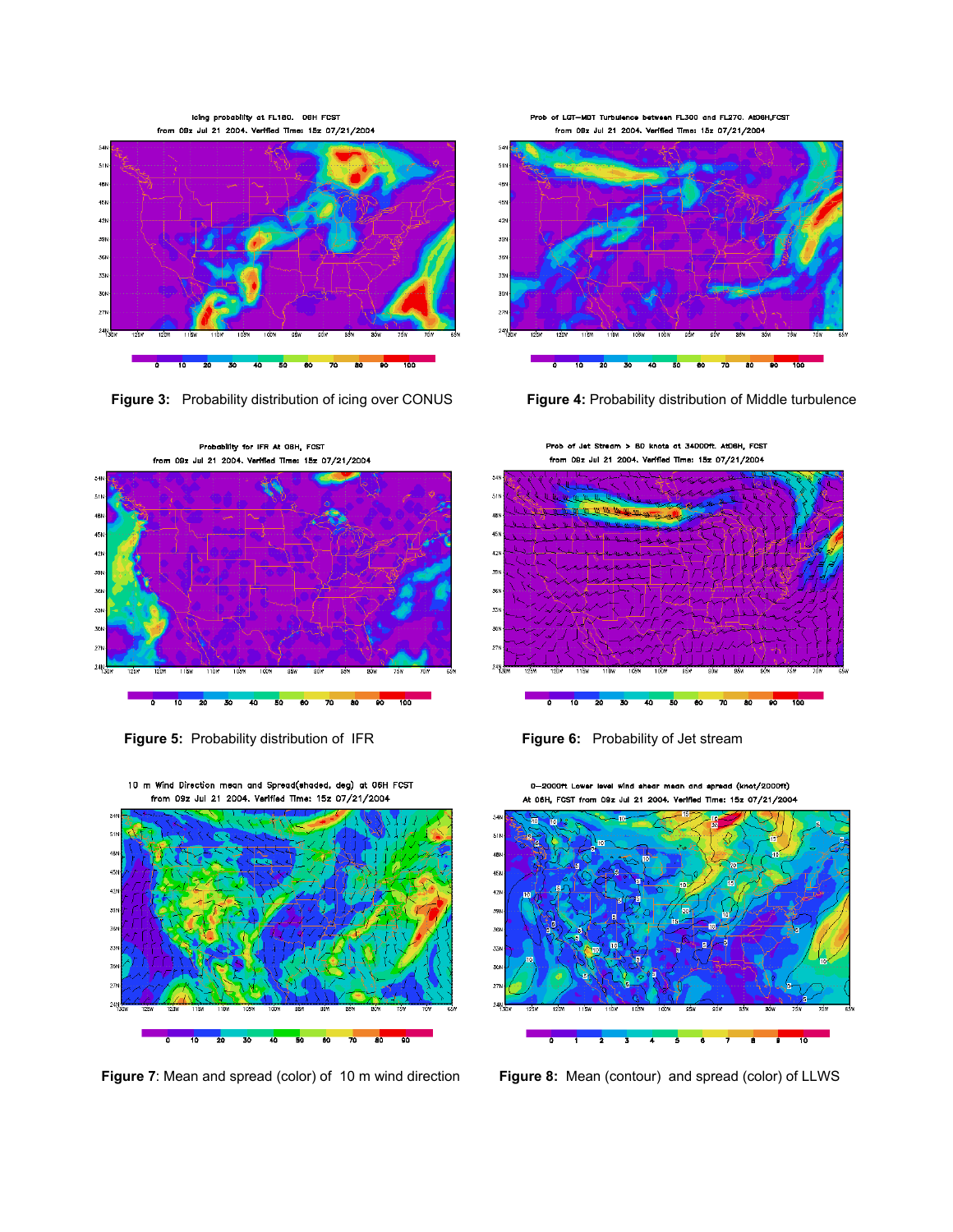icing probability at FL180. OSH FCST from 09z Jul 21 2004. Verified Time: 15z 07/21/2004



Figure 3: Probability distribution of icing over CONUS Figure 4: Probability distribution of Middle turbulence



**Figure 5:** Probability distribution of IFR **Figure 6:** Probability of Jet stream

10 m Wind Direction mean and Spread(shaded, deg) at 06H FCST from 09z Jul 21 2004. Verified Time: 15z 07/21/2004



Figure 7: Mean and spread (color) of 10 m wind direction Figure 8: Mean (contour) and spread (color) of LLWS

Prob of LGT-MDT Turbulence between FL300 and FL270. At06H,FCST from 09z Jul 21 2004. Verified Time: 15z 07/21/2004



Prob of Jet Stream > 80 knots at 34000ft. At06H, FCST from 09z Jul 21 2004. Verified Time: 15z 07/21/2004



ř  $511$ 4BN 45N  $^{42}$ 36 33

0-2000ft Lower level wind ahear mean and apread (knot/2000ft) At 06H, FCST from 09z Jul 21 2004. Verified Time: 15z 07/21/2004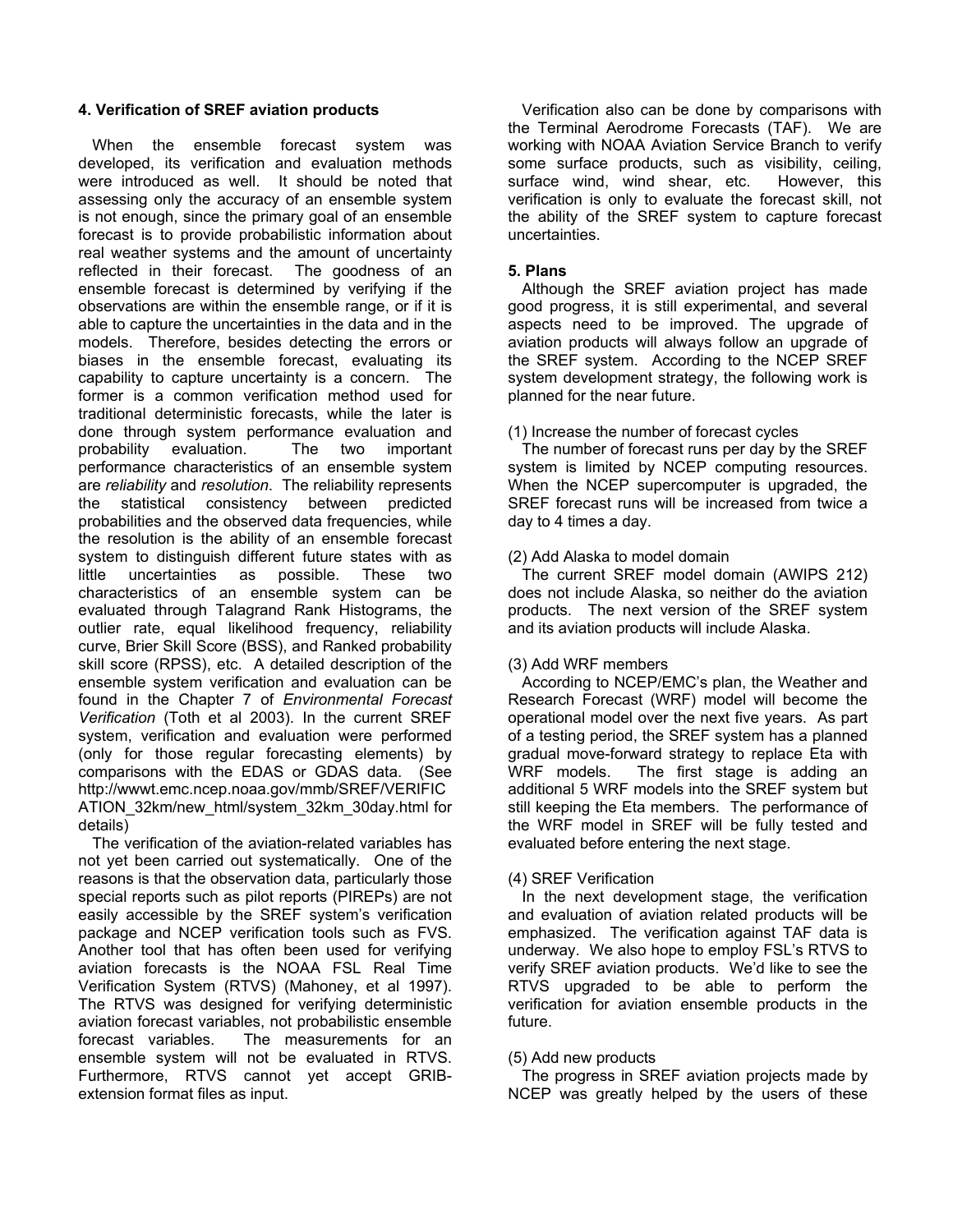### **4. Verification of SREF aviation products**

When the ensemble forecast system was developed, its verification and evaluation methods were introduced as well. It should be noted that assessing only the accuracy of an ensemble system is not enough, since the primary goal of an ensemble forecast is to provide probabilistic information about real weather systems and the amount of uncertainty reflected in their forecast. The goodness of an ensemble forecast is determined by verifying if the observations are within the ensemble range, or if it is able to capture the uncertainties in the data and in the models. Therefore, besides detecting the errors or biases in the ensemble forecast, evaluating its capability to capture uncertainty is a concern. The former is a common verification method used for traditional deterministic forecasts, while the later is done through system performance evaluation and probability evaluation. The two important performance characteristics of an ensemble system are *reliability* and *resolution*. The reliability represents the statistical consistency between predicted probabilities and the observed data frequencies, while the resolution is the ability of an ensemble forecast system to distinguish different future states with as little uncertainties as possible. These two characteristics of an ensemble system can be evaluated through Talagrand Rank Histograms, the outlier rate, equal likelihood frequency, reliability curve, Brier Skill Score (BSS), and Ranked probability skill score (RPSS), etc. A detailed description of the ensemble system verification and evaluation can be found in the Chapter 7 of *Environmental Forecast Verification* (Toth et al 2003). In the current SREF system, verification and evaluation were performed (only for those regular forecasting elements) by comparisons with the EDAS or GDAS data. (See http://wwwt.emc.ncep.noaa.gov/mmb/SREF/VERIFIC ATION\_32km/new\_html/system\_32km\_30day.html for details)

The verification of the aviation-related variables has not yet been carried out systematically. One of the reasons is that the observation data, particularly those special reports such as pilot reports (PIREPs) are not easily accessible by the SREF system's verification package and NCEP verification tools such as FVS. Another tool that has often been used for verifying aviation forecasts is the NOAA FSL Real Time Verification System (RTVS) (Mahoney, et al 1997). The RTVS was designed for verifying deterministic aviation forecast variables, not probabilistic ensemble forecast variables. The measurements for an ensemble system will not be evaluated in RTVS. Furthermore, RTVS cannot yet accept GRIBextension format files as input.

Verification also can be done by comparisons with the Terminal Aerodrome Forecasts (TAF). We are working with NOAA Aviation Service Branch to verify some surface products, such as visibility, ceiling, surface wind, wind shear, etc. However, this verification is only to evaluate the forecast skill, not the ability of the SREF system to capture forecast uncertainties.

### **5. Plans**

Although the SREF aviation project has made good progress, it is still experimental, and several aspects need to be improved. The upgrade of aviation products will always follow an upgrade of the SREF system. According to the NCEP SREF system development strategy, the following work is planned for the near future.

### (1) Increase the number of forecast cycles

The number of forecast runs per day by the SREF system is limited by NCEP computing resources. When the NCEP supercomputer is upgraded, the SREF forecast runs will be increased from twice a day to 4 times a day.

### (2) Add Alaska to model domain

The current SREF model domain (AWIPS 212) does not include Alaska, so neither do the aviation products. The next version of the SREF system and its aviation products will include Alaska.

### (3) Add WRF members

According to NCEP/EMC's plan, the Weather and Research Forecast (WRF) model will become the operational model over the next five years. As part of a testing period, the SREF system has a planned gradual move-forward strategy to replace Eta with WRF models. The first stage is adding an additional 5 WRF models into the SREF system but still keeping the Eta members. The performance of the WRF model in SREF will be fully tested and evaluated before entering the next stage.

### (4) SREF Verification

In the next development stage, the verification and evaluation of aviation related products will be emphasized. The verification against TAF data is underway. We also hope to employ FSL's RTVS to verify SREF aviation products. We'd like to see the RTVS upgraded to be able to perform the verification for aviation ensemble products in the future.

### (5) Add new products

The progress in SREF aviation projects made by NCEP was greatly helped by the users of these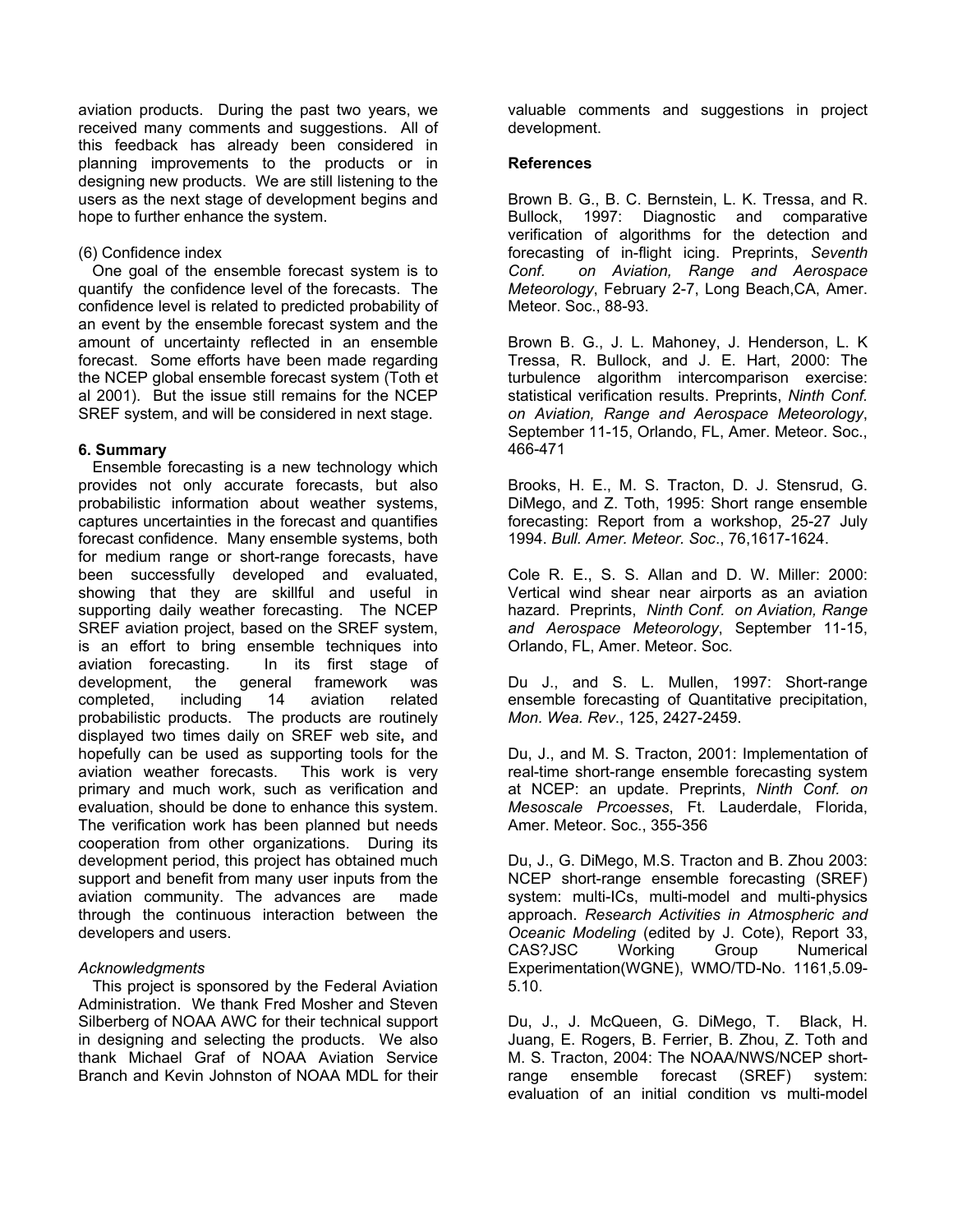aviation products. During the past two years, we received many comments and suggestions. All of this feedback has already been considered in planning improvements to the products or in designing new products. We are still listening to the users as the next stage of development begins and hope to further enhance the system.

### (6) Confidence index

One goal of the ensemble forecast system is to quantify the confidence level of the forecasts. The confidence level is related to predicted probability of an event by the ensemble forecast system and the amount of uncertainty reflected in an ensemble forecast. Some efforts have been made regarding the NCEP global ensemble forecast system (Toth et al 2001). But the issue still remains for the NCEP SREF system, and will be considered in next stage.

### **6. Summary**

Ensemble forecasting is a new technology which provides not only accurate forecasts, but also probabilistic information about weather systems, captures uncertainties in the forecast and quantifies forecast confidence. Many ensemble systems, both for medium range or short-range forecasts, have been successfully developed and evaluated, showing that they are skillful and useful in supporting daily weather forecasting. The NCEP SREF aviation project, based on the SREF system, is an effort to bring ensemble techniques into aviation forecasting. In its first stage of development, the general framework was completed, including 14 aviation related probabilistic products. The products are routinely displayed two times daily on SREF web site**,** and hopefully can be used as supporting tools for the aviation weather forecasts. This work is very primary and much work, such as verification and evaluation, should be done to enhance this system. The verification work has been planned but needs cooperation from other organizations. During its development period, this project has obtained much support and benefit from many user inputs from the aviation community. The advances are made through the continuous interaction between the developers and users.

### *Acknowledgments*

This project is sponsored by the Federal Aviation Administration. We thank Fred Mosher and Steven Silberberg of NOAA AWC for their technical support in designing and selecting the products. We also thank Michael Graf of NOAA Aviation Service Branch and Kevin Johnston of NOAA MDL for their

valuable comments and suggestions in project development.

### **References**

Brown B. G., B. C. Bernstein, L. K. Tressa, and R. Bullock, 1997: Diagnostic and comparative verification of algorithms for the detection and forecasting of in-flight icing. Preprints, *Seventh Conf. on Aviation, Range and Aerospace Meteorology*, February 2-7, Long Beach,CA, Amer. Meteor. Soc., 88-93.

Brown B. G., J. L. Mahoney, J. Henderson, L. K Tressa, R. Bullock, and J. E. Hart, 2000: The turbulence algorithm intercomparison exercise: statistical verification results. Preprints, *Ninth Conf. on Aviation, Range and Aerospace Meteorology*, September 11-15, Orlando, FL, Amer. Meteor. Soc., 466-471

Brooks, H. E., M. S. Tracton, D. J. Stensrud, G. DiMego, and Z. Toth, 1995: Short range ensemble forecasting: Report from a workshop, 25-27 July 1994. *Bull. Amer. Meteor. Soc*., 76,1617-1624.

Cole R. E., S. S. Allan and D. W. Miller: 2000: Vertical wind shear near airports as an aviation hazard. Preprints, *Ninth Conf. on Aviation, Range and Aerospace Meteorology*, September 11-15, Orlando, FL, Amer. Meteor. Soc.

Du J., and S. L. Mullen, 1997: Short-range ensemble forecasting of Quantitative precipitation, *Mon. Wea. Rev*., 125, 2427-2459.

Du, J., and M. S. Tracton, 2001: Implementation of real-time short-range ensemble forecasting system at NCEP: an update. Preprints, *Ninth Conf. on Mesoscale Prcoesses*, Ft. Lauderdale, Florida, Amer. Meteor. Soc., 355-356

Du, J., G. DiMego, M.S. Tracton and B. Zhou 2003: NCEP short-range ensemble forecasting (SREF) system: multi-ICs, multi-model and multi-physics approach. *Research Activities in Atmospheric and Oceanic Modeling* (edited by J. Cote), Report 33, CAS?JSC Working Group Numerical Experimentation(WGNE), WMO/TD-No. 1161,5.09- 5.10.

Du, J., J. McQueen, G. DiMego, T. Black, H. Juang, E. Rogers, B. Ferrier, B. Zhou, Z. Toth and M. S. Tracton, 2004: The NOAA/NWS/NCEP shortrange ensemble forecast (SREF) system: evaluation of an initial condition vs multi-model